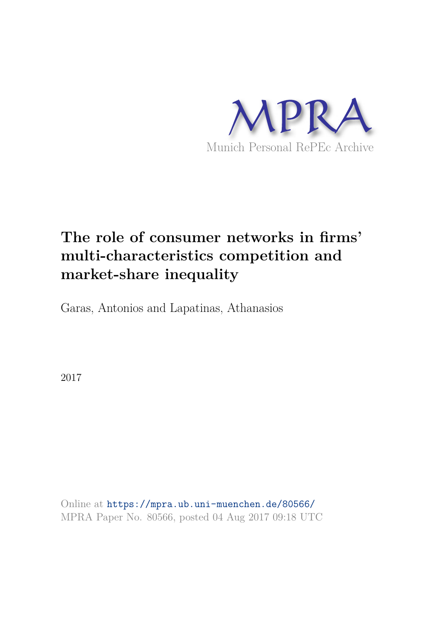

# **The role of consumer networks in firms' multi-characteristics competition and market-share inequality**

Garas, Antonios and Lapatinas, Athanasios

2017

Online at https://mpra.ub.uni-muenchen.de/80566/ MPRA Paper No. 80566, posted 04 Aug 2017 09:18 UTC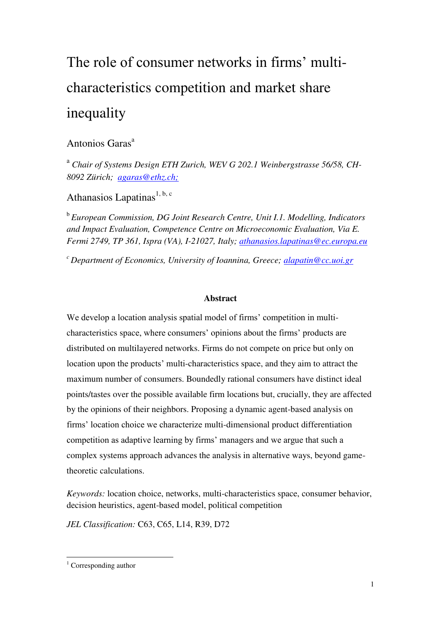# The role of consumer networks in firms' multicharacteristics competition and market share inequality

# Antonios Garas<sup>a</sup>

<sup>a</sup> Chair of Systems Design ETH Zurich, WEV G 202.1 Weinbergstrasse 56/58, CH-*8092 Zürich; [agaras@ethz.ch;](mailto:agaras@ethz.ch)*

Athanasios Lapatinas<sup>1, b, c</sup>

b *European Commission, DG Joint Research Centre, Unit I.1. Modelling, Indicators and Impact Evaluation, Competence Centre on Microeconomic Evaluation, Via E. Fermi 2749, TP 361, Ispra (VA), I-21027, Italy; [athanasios.lapatinas@ec.europa.eu](mailto:athanasios.lapatinas@ec.europa.eu)*

*<sup>c</sup>Department of Economics, University of Ioannina, Greece; [alapatin@cc.uoi.gr](mailto:alapatin@cc.uoi.gr)*

#### **Abstract**

We develop a location analysis spatial model of firms' competition in multicharacteristics space, where consumers' opinions about the firms' products are distributed on multilayered networks. Firms do not compete on price but only on location upon the products' multi-characteristics space, and they aim to attract the maximum number of consumers. Boundedly rational consumers have distinct ideal points/tastes over the possible available firm locations but, crucially, they are affected by the opinions of their neighbors. Proposing a dynamic agent-based analysis on firms' location choice we characterize multi-dimensional product differentiation competition as adaptive learning by firms' managers and we argue that such a complex systems approach advances the analysis in alternative ways, beyond gametheoretic calculations.

*Keywords:* location choice, networks, multi-characteristics space, consumer behavior, decision heuristics, agent-based model, political competition

*JEL Classification:* C63, C65, L14, R39, D72

 1 Corresponding author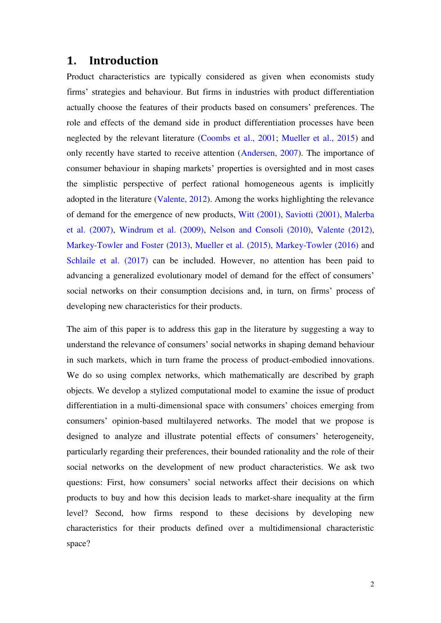# **1. Introduction**

Product characteristics are typically considered as given when economists study firms' strategies and behaviour. But firms in industries with product differentiation actually choose the features of their products based on consumers' preferences. The role and effects of the demand side in product differentiation processes have been neglected by the relevant literature (Coombs et al., 2001; Mueller et al., 2015) and only recently have started to receive attention (Andersen, 2007). The importance of consumer behaviour in shaping markets' properties is oversighted and in most cases the simplistic perspective of perfect rational homogeneous agents is implicitly adopted in the literature (Valente, 2012). Among the works highlighting the relevance of demand for the emergence of new products, Witt (2001), Saviotti (2001), Malerba et al. (2007), Windrum et al. (2009), Nelson and Consoli (2010), Valente (2012), Markey-Towler and Foster (2013), Mueller et al. (2015), Markey-Towler (2016) and Schlaile et al. (2017) can be included. However, no attention has been paid to advancing a generalized evolutionary model of demand for the effect of consumers' social networks on their consumption decisions and, in turn, on firms' process of developing new characteristics for their products.

The aim of this paper is to address this gap in the literature by suggesting a way to understand the relevance of consumers' social networks in shaping demand behaviour in such markets, which in turn frame the process of product-embodied innovations. We do so using complex networks, which mathematically are described by graph objects. We develop a stylized computational model to examine the issue of product differentiation in a multi-dimensional space with consumers' choices emerging from consumers' opinion-based multilayered networks. The model that we propose is designed to analyze and illustrate potential effects of consumers' heterogeneity, particularly regarding their preferences, their bounded rationality and the role of their social networks on the development of new product characteristics. We ask two questions: First, how consumers' social networks affect their decisions on which products to buy and how this decision leads to market-share inequality at the firm level? Second, how firms respond to these decisions by developing new characteristics for their products defined over a multidimensional characteristic space?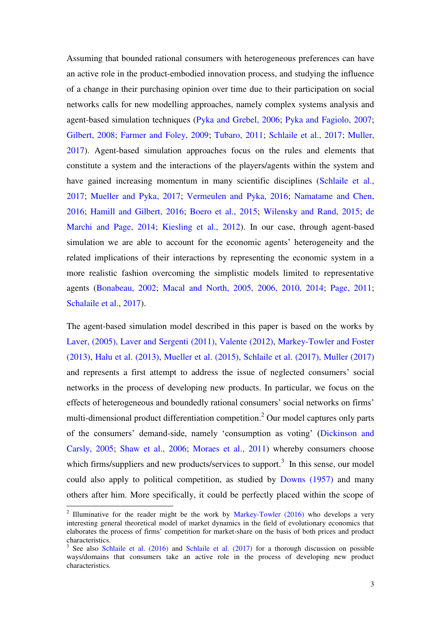Assuming that bounded rational consumers with heterogeneous preferences can have an active role in the product-embodied innovation process, and studying the influence of a change in their purchasing opinion over time due to their participation on social networks calls for new modelling approaches, namely complex systems analysis and agent-based simulation techniques (Pyka and Grebel, 2006; Pyka and Fagiolo, 2007; Gilbert, 2008; Farmer and Foley, 2009; Tubaro, 2011; Schlaile et al., 2017; Muller, 2017). Agent-based simulation approaches focus on the rules and elements that constitute a system and the interactions of the players/agents within the system and have gained increasing momentum in many scientific disciplines (Schlaile et al., 2017; Mueller and Pyka, 2017; Vermeulen and Pyka, 2016; Namatame and Chen, 2016; Hamill and Gilbert, 2016; Boero et al., 2015; Wilensky and Rand, 2015; de Marchi and Page, 2014; Kiesling et al., 2012). In our case, through agent-based simulation we are able to account for the economic agents' heterogeneity and the related implications of their interactions by representing the economic system in a more realistic fashion overcoming the simplistic models limited to representative agents (Bonabeau, 2002; Macal and North, 2005, 2006, 2010, 2014; Page, 2011; Schalaile et al., 2017).

The agent-based simulation model described in this paper is based on the works by Laver, (2005), Laver and Sergenti (2011), Valente (2012), Markey-Towler and Foster (2013), Halu et al. (2013), Mueller et al. (2015), Schlaile et al. (2017), Muller (2017) and represents a first attempt to address the issue of neglected consumers' social networks in the process of developing new products. In particular, we focus on the effects of heterogeneous and boundedly rational consumers' social networks on firms' multi-dimensional product differentiation competition.<sup>2</sup> Our model captures only parts of the consumers' demand-side, namely 'consumption as voting' (Dickinson and Carsly, 2005; Shaw et al., 2006; Moraes et al., 2011) whereby consumers choose which firms/suppliers and new products/services to support.<sup>3</sup> In this sense, our model could also apply to political competition, as studied by Downs (1957) and many others after him. More specifically, it could be perfectly placed within the scope of

<sup>&</sup>lt;sup>2</sup> Illuminative for the reader might be the work by Markey-Towler  $(2016)$  who develops a very interesting general theoretical model of market dynamics in the field of evolutionary economics that elaborates the process of firms' competition for market-share on the basis of both prices and product characteristics.

<sup>&</sup>lt;sup>3</sup> See also Schlaile et al. (2016) and Schlaile et al. (2017) for a thorough discussion on possible ways/domains that consumers take an active role in the process of developing new product characteristics.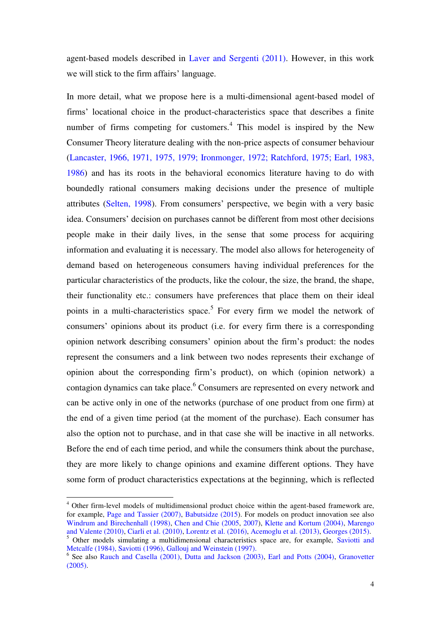agent-based models described in Laver and Sergenti (2011). However, in this work we will stick to the firm affairs' language.

In more detail, what we propose here is a multi-dimensional agent-based model of firms' locational choice in the product-characteristics space that describes a finite number of firms competing for customers. $4$  This model is inspired by the New Consumer Theory literature dealing with the non-price aspects of consumer behaviour (Lancaster, 1966, 1971, 1975, 1979; Ironmonger, 1972; Ratchford, 1975; Earl, 1983, 1986) and has its roots in the behavioral economics literature having to do with boundedly rational consumers making decisions under the presence of multiple attributes (Selten, 1998). From consumers' perspective, we begin with a very basic idea. Consumers' decision on purchases cannot be different from most other decisions people make in their daily lives, in the sense that some process for acquiring information and evaluating it is necessary. The model also allows for heterogeneity of demand based on heterogeneous consumers having individual preferences for the particular characteristics of the products, like the colour, the size, the brand, the shape, their functionality etc.: consumers have preferences that place them on their ideal points in a multi-characteristics space.<sup>5</sup> For every firm we model the network of consumers' opinions about its product (i.e. for every firm there is a corresponding opinion network describing consumers' opinion about the firm's product: the nodes represent the consumers and a link between two nodes represents their exchange of opinion about the corresponding firm's product), on which (opinion network) a contagion dynamics can take place.<sup>6</sup> Consumers are represented on every network and can be active only in one of the networks (purchase of one product from one firm) at the end of a given time period (at the moment of the purchase). Each consumer has also the option not to purchase, and in that case she will be inactive in all networks. Before the end of each time period, and while the consumers think about the purchase, they are more likely to change opinions and examine different options. They have some form of product characteristics expectations at the beginning, which is reflected

<sup>&</sup>lt;sup>4</sup> Other firm-level models of multidimensional product choice within the agent-based framework are, for example, Page and Tassier (2007), Babutsidze (2015). For models on product innovation see also Windrum and Birechenhall (1998), Chen and Chie (2005, 2007), Klette and Kortum (2004), Marengo and Valente (2010), Ciarli et al. (2010), Lorentz et al. (2016), Acemoglu et al. (2013), Georges (2015).

<sup>&</sup>lt;sup>5</sup> Other models simulating a multidimensional characteristics space are, for example, Saviotti and Metcalfe (1984), Saviotti (1996), Gallouj and Weinstein (1997).

<sup>&</sup>lt;sup>6</sup> See also Rauch and Casella (2001), Dutta and Jackson (2003), Earl and Potts (2004), Granovetter  $(2005)$ .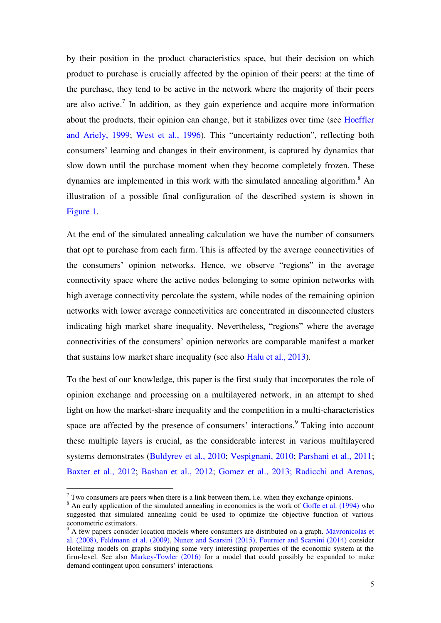by their position in the product characteristics space, but their decision on which product to purchase is crucially affected by the opinion of their peers: at the time of the purchase, they tend to be active in the network where the majority of their peers are also active.<sup>7</sup> In addition, as they gain experience and acquire more information about the products, their opinion can change, but it stabilizes over time (see Hoeffler and Ariely, 1999; West et al., 1996). This "uncertainty reduction", reflecting both consumers' learning and changes in their environment, is captured by dynamics that slow down until the purchase moment when they become completely frozen. These dynamics are implemented in this work with the simulated annealing algorithm.<sup>8</sup> An illustration of a possible final configuration of the described system is shown in Figure 1.

At the end of the simulated annealing calculation we have the number of consumers that opt to purchase from each firm. This is affected by the average connectivities of the consumers' opinion networks. Hence, we observe "regions" in the average connectivity space where the active nodes belonging to some opinion networks with high average connectivity percolate the system, while nodes of the remaining opinion networks with lower average connectivities are concentrated in disconnected clusters indicating high market share inequality. Nevertheless, "regions" where the average connectivities of the consumers' opinion networks are comparable manifest a market that sustains low market share inequality (see also Halu et al., 2013).

To the best of our knowledge, this paper is the first study that incorporates the role of opinion exchange and processing on a multilayered network, in an attempt to shed light on how the market-share inequality and the competition in a multi-characteristics space are affected by the presence of consumers' interactions.<sup>9</sup> Taking into account these multiple layers is crucial, as the considerable interest in various multilayered systems demonstrates (Buldyrev et al., 2010; Vespignani, 2010; Parshani et al., 2011; Baxter et al., 2012; Bashan et al., 2012; Gomez et al., 2013; Radicchi and Arenas,

 $7$  Two consumers are peers when there is a link between them, i.e. when they exchange opinions.

<sup>&</sup>lt;sup>8</sup> An early application of the simulated annealing in economics is the work of Goffe et al. (1994) who suggested that simulated annealing could be used to optimize the objective function of various econometric estimators.

<sup>&</sup>lt;sup>9</sup> A few papers consider location models where consumers are distributed on a graph. Mavronicolas et al. (2008), Feldmann et al. (2009), Nunez and Scarsini (2015), Fournier and Scarsini (2014) consider Hotelling models on graphs studying some very interesting properties of the economic system at the firm-level. See also Markey-Towler (2016) for a model that could possibly be expanded to make demand contingent upon consumers' interactions.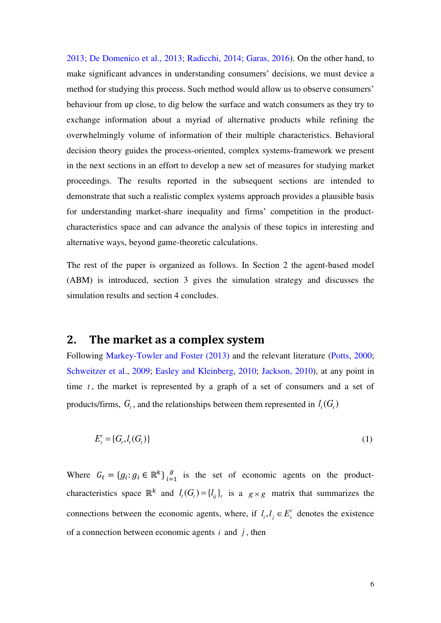2013; De Domenico et al., 2013; Radicchi, 2014; Garas, 2016). On the other hand, to make significant advances in understanding consumers' decisions, we must device a method for studying this process. Such method would allow us to observe consumers' behaviour from up close, to dig below the surface and watch consumers as they try to exchange information about a myriad of alternative products while refining the overwhelmingly volume of information of their multiple characteristics. Behavioral decision theory guides the process-oriented, complex systems-framework we present in the next sections in an effort to develop a new set of measures for studying market proceedings. The results reported in the subsequent sections are intended to demonstrate that such a realistic complex systems approach provides a plausible basis for understanding market-share inequality and firms' competition in the productcharacteristics space and can advance the analysis of these topics in interesting and alternative ways, beyond game-theoretic calculations.

The rest of the paper is organized as follows. In Section 2 the agent-based model (ABM) is introduced, section 3 gives the simulation strategy and discusses the simulation results and section 4 concludes.

# **2. The market as a complex system**

Following Markey-Towler and Foster (2013) and the relevant literature (Potts, 2000; Schweitzer et al., 2009; Easley and Kleinberg, 2010; Jackson, 2010), at any point in time  $t$ , the market is represented by a graph of a set of consumers and a set of products/firms,  $G_t$ , and the relationships between them represented in  $l_t(G_t)$ 

$$
E_s' = \{G_t, l_t(G_t)\}\tag{1}
$$

Where  $G_t = \{g_i : g_i \in \mathbb{R}^k\}_{i=1}^g$  is the set of economic agents on the productcharacteristics space  $\mathbb{R}^k$  and  $l_i(G_i) = \{l_{ij}\}_i$  is a  $g \times g$  matrix that summarizes the connections between the economic agents, where, if  $l_i, l_j \in E_s^t$  denotes the existence of a connection between economic agents *i* and *j* , then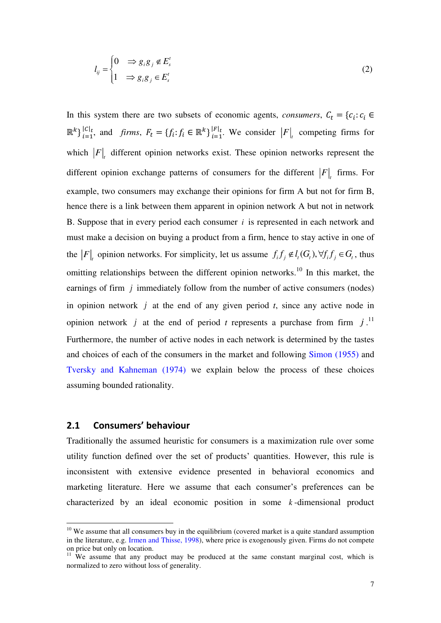$$
l_{ij} = \begin{cases} 0 & \Rightarrow g_i g_j \notin E_s^t \\ 1 & \Rightarrow g_i g_j \in E_s^t \end{cases} \tag{2}
$$

In this system there are two subsets of economic agents, *consumers*,  $C_t = \{c_i : c_i \in$  $\mathbb{R}^k$   $\big\}$ <sup>[C|t</sup>, and *firms*,  $F_t = \{f_i : f_i \in \mathbb{R}^k\}$ <sup>[F|t</sup>]</sub>. We consider  $\big|F\big|_t$  competing firms for which  $|F|_t$  different opinion networks exist. These opinion networks represent the different opinion exchange patterns of consumers for the different  $|F|$ <sub>t</sub> firms. For example, two consumers may exchange their opinions for firm A but not for firm B, hence there is a link between them apparent in opinion network A but not in network B. Suppose that in every period each consumer *i* is represented in each network and must make a decision on buying a product from a firm, hence to stay active in one of the  $|F|_t$  opinion networks. For simplicity, let us assume  $f_i f_j \notin l_i(G_t)$ ,  $\forall f_i f_j \in G_t$ , thus omitting relationships between the different opinion networks.<sup>10</sup> In this market, the earnings of firm *j* immediately follow from the number of active consumers (nodes) in opinion network *j* at the end of any given period *t*, since any active node in opinion network *j* at the end of period *t* represents a purchase from firm  $j$ .<sup>11</sup> Furthermore, the number of active nodes in each network is determined by the tastes and choices of each of the consumers in the market and following Simon (1955) and Tversky and Kahneman (1974) we explain below the process of these choices assuming bounded rationality.

#### **2.1 Consumers' behaviour**

-

Traditionally the assumed heuristic for consumers is a maximization rule over some utility function defined over the set of products' quantities. However, this rule is inconsistent with extensive evidence presented in behavioral economics and marketing literature. Here we assume that each consumer's preferences can be characterized by an ideal economic position in some *<sup>k</sup>* -dimensional product

 $10$  We assume that all consumers buy in the equilibrium (covered market is a quite standard assumption in the literature, e.g. Irmen and Thisse, 1998), where price is exogenously given. Firms do not compete on price but only on location.

 $11$  We assume that any product may be produced at the same constant marginal cost, which is normalized to zero without loss of generality.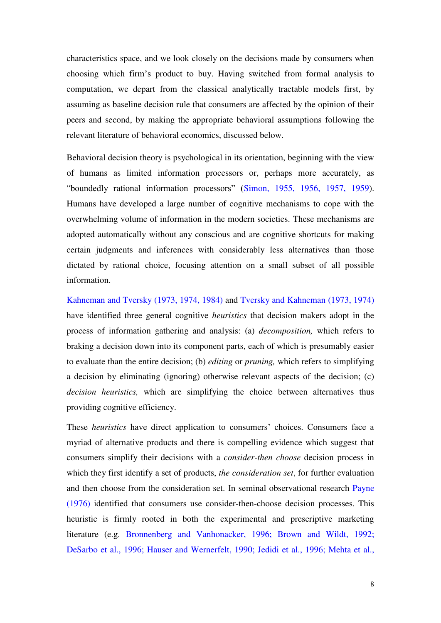characteristics space, and we look closely on the decisions made by consumers when choosing which firm's product to buy. Having switched from formal analysis to computation, we depart from the classical analytically tractable models first, by assuming as baseline decision rule that consumers are affected by the opinion of their peers and second, by making the appropriate behavioral assumptions following the relevant literature of behavioral economics, discussed below.

Behavioral decision theory is psychological in its orientation, beginning with the view of humans as limited information processors or, perhaps more accurately, as "boundedly rational information processors" (Simon, 1955, 1956, 1957, 1959). Humans have developed a large number of cognitive mechanisms to cope with the overwhelming volume of information in the modern societies. These mechanisms are adopted automatically without any conscious and are cognitive shortcuts for making certain judgments and inferences with considerably less alternatives than those dictated by rational choice, focusing attention on a small subset of all possible information.

Kahneman and Tversky (1973, 1974, 1984) and Tversky and Kahneman (1973, 1974) have identified three general cognitive *heuristics* that decision makers adopt in the process of information gathering and analysis: (a) *decomposition,* which refers to braking a decision down into its component parts, each of which is presumably easier to evaluate than the entire decision; (b) *editing* or *pruning,* which refers to simplifying a decision by eliminating (ignoring) otherwise relevant aspects of the decision; (c) *decision heuristics,* which are simplifying the choice between alternatives thus providing cognitive efficiency.

These *heuristics* have direct application to consumers' choices. Consumers face a myriad of alternative products and there is compelling evidence which suggest that consumers simplify their decisions with a *consider-then choose* decision process in which they first identify a set of products, *the consideration set*, for further evaluation and then choose from the consideration set. In seminal observational research Payne (1976) identified that consumers use consider-then-choose decision processes. This heuristic is firmly rooted in both the experimental and prescriptive marketing literature (e.g. Bronnenberg and Vanhonacker, 1996; Brown and Wildt, 1992; DeSarbo et al., 1996; Hauser and Wernerfelt, 1990; Jedidi et al., 1996; Mehta et al.,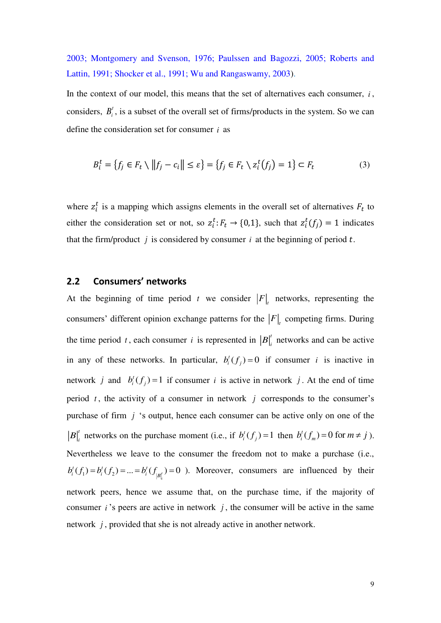2003; Montgomery and Svenson, 1976; Paulssen and Bagozzi, 2005; Roberts and Lattin, 1991; Shocker et al., 1991; Wu and Rangaswamy, 2003).

In the context of our model, this means that the set of alternatives each consumer,  $i$ , considers,  $B_i^t$ , is a subset of the overall set of firms/products in the system. So we can define the consideration set for consumer *i* as

$$
B_i^t = \{ f_j \in F_t \setminus ||f_j - c_i|| \le \varepsilon \} = \{ f_j \in F_t \setminus z_i^t(f_j) = 1 \} \subset F_t \tag{3}
$$

where  $z_i^t$  is a mapping which assigns elements in the overall set of alternatives  $F_t$  to either the consideration set or not, so  $z_i^t$ :  $F_t \rightarrow \{0,1\}$ , such that  $z_i^t(f_j) = 1$  indicates that the firm/product  $j$  is considered by consumer  $i$  at the beginning of period  $t$ .

#### **2.2 Consumers' networks**

At the beginning of time period t we consider  $|F|_t$  networks, representing the consumers' different opinion exchange patterns for the  $|F|$ <sub>t</sub> competing firms. During the time period *t*, each consumer *i* is represented in  $|B|$ <sup>*t*</sup></sup> networks and can be active in any of these networks. In particular,  $b_i^t(f_j) = 0$  if consumer *i* is inactive in network *j* and  $b_i^t(f_j) = 1$  if consumer *i* is active in network *j*. At the end of time period *<sup>t</sup>* , the activity of a consumer in network *j* corresponds to the consumer's purchase of firm *j* 's output, hence each consumer can be active only on one of the *t B*<sup> $\vert f \vert$ </sup> networks on the purchase moment (i.e., if  $b_i^t(f_j) = 1$  then  $b_i^t(f_m) = 0$  for  $m \neq j$ ). Nevertheless we leave to the consumer the freedom not to make a purchase (i.e.,  $(f_1) = b_i^t(f_2) = ... = b_i^t(f_{|B_i^t|}) = 0$  $f(f) = h^t(f) = -h^t$  $b_i^t(f_1) = b_i^t(f_2) = \dots = b_i^t(f_{|B_i^t}) = 0$  ). Moreover, consumers are influenced by their network peers, hence we assume that, on the purchase time, if the majority of consumer  $i$ 's peers are active in network  $j$ , the consumer will be active in the same network *j* , provided that she is not already active in another network.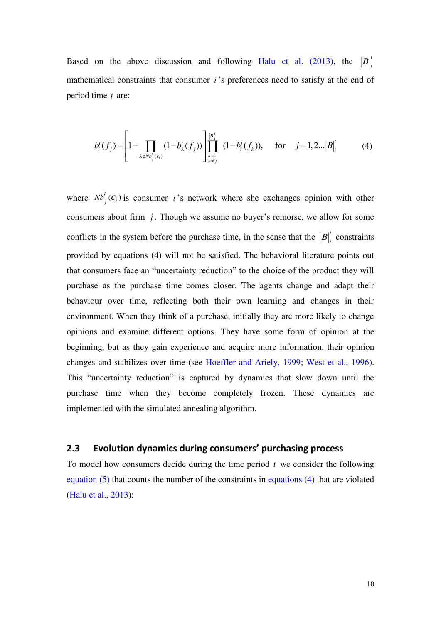Based on the above discussion and following Halu et al. (2013), the  $|B|$ mathematical constraints that consumer *<sup>i</sup>* 's preferences need to satisfy at the end of period time *t* are:

$$
b_i^t(f_j) = \left[1 - \prod_{\lambda \in Nb_j^t(c_i)} (1 - b_{\lambda}^t(f_j))\right] \prod_{\substack{k=1 \ k \neq j}}^{|B|} (1 - b_i^t(f_k)), \quad \text{for} \quad j = 1, 2...|B|_i^t \tag{4}
$$

where  $Nb^i_j(C_i)$ *t*  $Nb^i$  ( $c_i$ ) is consumer *i* 's network where she exchanges opinion with other consumers about firm *j* . Though we assume no buyer's remorse, we allow for some conflicts in the system before the purchase time, in the sense that the  $|B|$ <sup>t</sup> constraints provided by equations (4) will not be satisfied. The behavioral literature points out that consumers face an "uncertainty reduction" to the choice of the product they will purchase as the purchase time comes closer. The agents change and adapt their behaviour over time, reflecting both their own learning and changes in their environment. When they think of a purchase, initially they are more likely to change opinions and examine different options. They have some form of opinion at the beginning, but as they gain experience and acquire more information, their opinion changes and stabilizes over time (see Hoeffler and Ariely, 1999; West et al., 1996). This "uncertainty reduction" is captured by dynamics that slow down until the purchase time when they become completely frozen. These dynamics are implemented with the simulated annealing algorithm.

#### **2.3 Evolution dynamics during consumers' purchasing process**

To model how consumers decide during the time period *t* we consider the following equation (5) that counts the number of the constraints in equations (4) that are violated (Halu et al., 2013):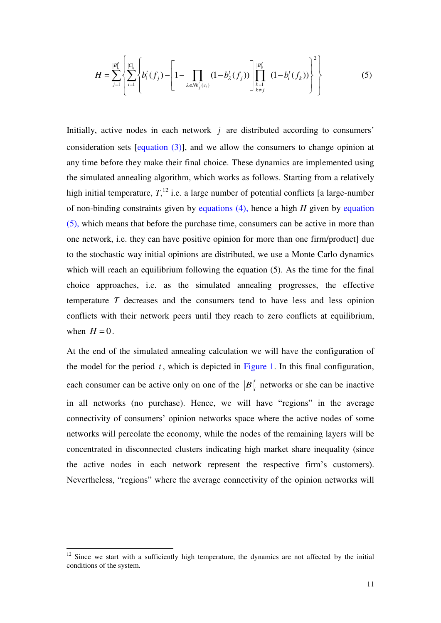$$
H = \sum_{j=1}^{|B|_i'} \left\{ \sum_{i=1}^{|C|_i} \left\{ b_i^t(f_j) - \left[1 - \prod_{\lambda \in NB_j^t(c_i)} (1 - b_\lambda^t(f_j)) \right] \prod_{\substack{k=1 \\ k \neq j}}^{|B|_i^t} (1 - b_i^t(f_k)) \right\}^2 \right\}
$$
(5)

Initially, active nodes in each network *j* are distributed according to consumers' consideration sets [equation (3)], and we allow the consumers to change opinion at any time before they make their final choice. These dynamics are implemented using the simulated annealing algorithm, which works as follows. Starting from a relatively high initial temperature,  $T<sub>1</sub><sup>12</sup>$  i.e. a large number of potential conflicts [a large-number of non-binding constraints given by equations (4), hence a high *H* given by equation (5), which means that before the purchase time, consumers can be active in more than one network, i.e. they can have positive opinion for more than one firm/product] due to the stochastic way initial opinions are distributed, we use a Monte Carlo dynamics which will reach an equilibrium following the equation (5). As the time for the final choice approaches, i.e. as the simulated annealing progresses, the effective temperature *T* decreases and the consumers tend to have less and less opinion conflicts with their network peers until they reach to zero conflicts at equilibrium, when  $H = 0$ .

At the end of the simulated annealing calculation we will have the configuration of the model for the period  $t$ , which is depicted in Figure 1. In this final configuration, each consumer can be active only on one of the  $|B|$ <sup>t</sup> networks or she can be inactive in all networks (no purchase). Hence, we will have "regions" in the average connectivity of consumers' opinion networks space where the active nodes of some networks will percolate the economy, while the nodes of the remaining layers will be concentrated in disconnected clusters indicating high market share inequality (since the active nodes in each network represent the respective firm's customers). Nevertheless, "regions" where the average connectivity of the opinion networks will

 $12$  Since we start with a sufficiently high temperature, the dynamics are not affected by the initial conditions of the system.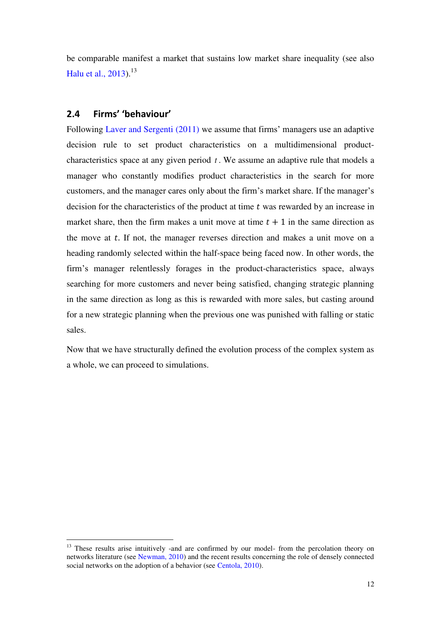be comparable manifest a market that sustains low market share inequality (see also Halu et al.,  $2013$ .<sup>13</sup>

# **2.4 Firms' 'behaviour'**

-

Following Laver and Sergenti (2011) we assume that firms' managers use an adaptive decision rule to set product characteristics on a multidimensional productcharacteristics space at any given period *<sup>t</sup>* . We assume an adaptive rule that models a manager who constantly modifies product characteristics in the search for more customers, and the manager cares only about the firm's market share. If the manager's decision for the characteristics of the product at time  $t$  was rewarded by an increase in market share, then the firm makes a unit move at time  $t + 1$  in the same direction as the move at  $t$ . If not, the manager reverses direction and makes a unit move on a heading randomly selected within the half-space being faced now. In other words, the firm's manager relentlessly forages in the product-characteristics space, always searching for more customers and never being satisfied, changing strategic planning in the same direction as long as this is rewarded with more sales, but casting around for a new strategic planning when the previous one was punished with falling or static sales.

Now that we have structurally defined the evolution process of the complex system as a whole, we can proceed to simulations.

<sup>&</sup>lt;sup>13</sup> These results arise intuitively -and are confirmed by our model- from the percolation theory on networks literature (see Newman, 2010) and the recent results concerning the role of densely connected social networks on the adoption of a behavior (see Centola, 2010).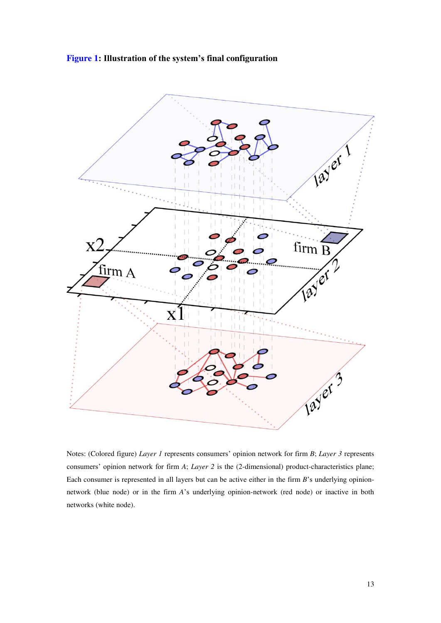



Notes: (Colored figure) *Layer 1* represents consumers' opinion network for firm *B*; *Layer 3* represents consumers' opinion network for firm *A*; *Layer 2* is the (2-dimensional) product-characteristics plane; Each consumer is represented in all layers but can be active either in the firm *B*'s underlying opinionnetwork (blue node) or in the firm *A*'s underlying opinion-network (red node) or inactive in both networks (white node).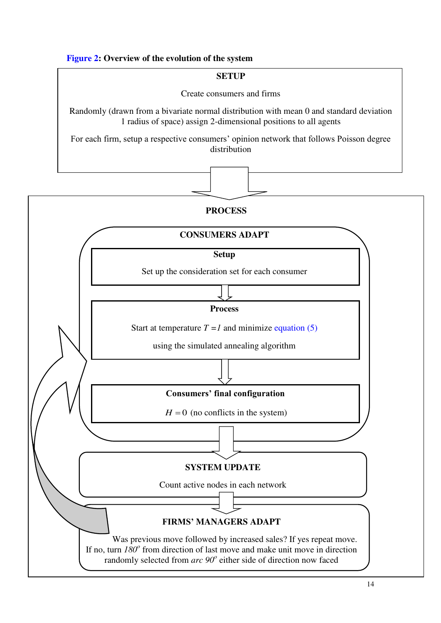### **Figure 2: Overview of the evolution of the system**

#### **SETUP**

Create consumers and firms

Randomly (drawn from a bivariate normal distribution with mean 0 and standard deviation 1 radius of space) assign 2-dimensional positions to all agents

For each firm, setup a respective consumers' opinion network that follows Poisson degree distribution

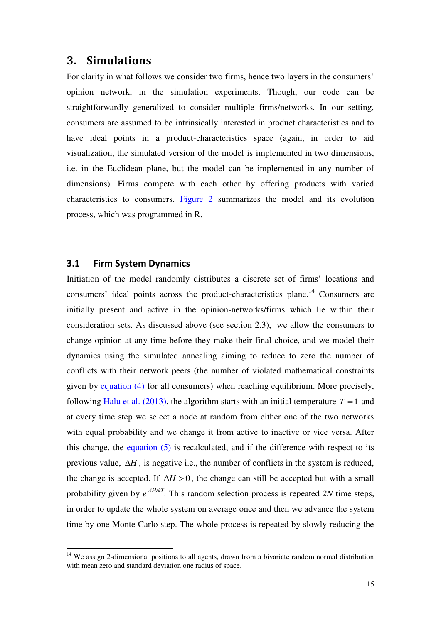# **3. Simulations**

For clarity in what follows we consider two firms, hence two layers in the consumers' opinion network, in the simulation experiments. Though, our code can be straightforwardly generalized to consider multiple firms/networks. In our setting, consumers are assumed to be intrinsically interested in product characteristics and to have ideal points in a product-characteristics space (again, in order to aid visualization, the simulated version of the model is implemented in two dimensions, i.e. in the Euclidean plane, but the model can be implemented in any number of dimensions). Firms compete with each other by offering products with varied characteristics to consumers. Figure 2 summarizes the model and its evolution process, which was programmed in R.

#### **3.1 Firm System Dynamics**

-

Initiation of the model randomly distributes a discrete set of firms' locations and consumers' ideal points across the product-characteristics plane.<sup>14</sup> Consumers are initially present and active in the opinion-networks/firms which lie within their consideration sets. As discussed above (see section 2.3), we allow the consumers to change opinion at any time before they make their final choice, and we model their dynamics using the simulated annealing aiming to reduce to zero the number of conflicts with their network peers (the number of violated mathematical constraints given by equation (4) for all consumers) when reaching equilibrium. More precisely, following Halu et al. (2013), the algorithm starts with an initial temperature  $T = 1$  and at every time step we select a node at random from either one of the two networks with equal probability and we change it from active to inactive or vice versa. After this change, the equation  $(5)$  is recalculated, and if the difference with respect to its previous value,  $\Delta H$ , is negative i.e., the number of conflicts in the system is reduced, the change is accepted. If  $\Delta H > 0$ , the change can still be accepted but with a small probability given by *e -ΔΗ/kT*. This random selection process is repeated *2N* time steps, in order to update the whole system on average once and then we advance the system time by one Monte Carlo step. The whole process is repeated by slowly reducing the

<sup>&</sup>lt;sup>14</sup> We assign 2-dimensional positions to all agents, drawn from a bivariate random normal distribution with mean zero and standard deviation one radius of space.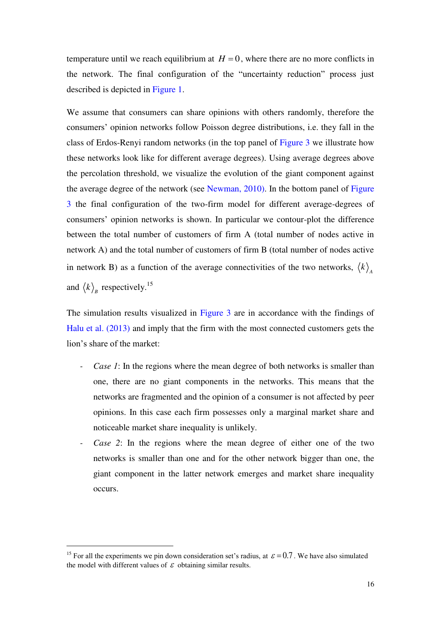temperature until we reach equilibrium at  $H = 0$ , where there are no more conflicts in the network. The final configuration of the "uncertainty reduction" process just described is depicted in Figure 1.

We assume that consumers can share opinions with others randomly, therefore the consumers' opinion networks follow Poisson degree distributions, i.e. they fall in the class of Erdos-Renyi random networks (in the top panel of Figure 3 we illustrate how these networks look like for different average degrees). Using average degrees above the percolation threshold, we visualize the evolution of the giant component against the average degree of the network (see Newman, 2010). In the bottom panel of Figure 3 the final configuration of the two-firm model for different average-degrees of consumers' opinion networks is shown. In particular we contour-plot the difference between the total number of customers of firm A (total number of nodes active in network A) and the total number of customers of firm B (total number of nodes active in network B) as a function of the average connectivities of the two networks,  $\langle k \rangle_A$ and  $\langle k \rangle_B$  respectively.<sup>15</sup>

The simulation results visualized in Figure 3 are in accordance with the findings of Halu et al. (2013) and imply that the firm with the most connected customers gets the lion's share of the market:

- *Case 1*: In the regions where the mean degree of both networks is smaller than one, there are no giant components in the networks. This means that the networks are fragmented and the opinion of a consumer is not affected by peer opinions. In this case each firm possesses only a marginal market share and noticeable market share inequality is unlikely.
- *Case 2*: In the regions where the mean degree of either one of the two networks is smaller than one and for the other network bigger than one, the giant component in the latter network emerges and market share inequality occurs.

<u>.</u>

<sup>&</sup>lt;sup>15</sup> For all the experiments we pin down consideration set's radius, at  $\varepsilon = 0.7$ . We have also simulated the model with different values of  $\epsilon$  obtaining similar results.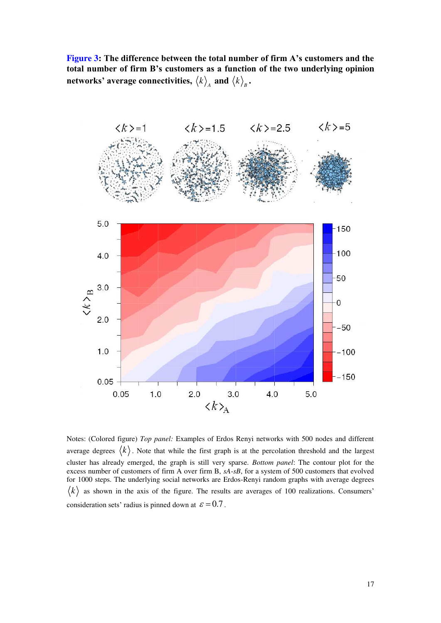**Figure 3: The difference between the total number of firm A's customers and the total number of firm B's customers as a function of the two underlying opinion networks' average connectivities,**  $\left\langle k \right\rangle_{\scriptscriptstyle{A}}$  **and**  $\left\langle k \right\rangle_{\scriptscriptstyle{B}}$ **.** 



Notes: (Colored figure) *Top panel:* Examples of Erdos Renyi networks with 500 nodes and different average degrees  $\langle k \rangle$ . Note that while the first graph is at the percolation threshold and the largest cluster has already emerged, the graph is still very sparse. *Bottom panel*: The contour plot for the excess number of customers of firm A over firm B, *sA*-*sB*, for a system of 500 customers that evolved for 1000 steps. The underlying social networks are Erdos-Renyi random graphs with average degrees  $\langle k \rangle$  as shown in the axis of the figure. The results are averages of 100 realizations. Consumers' consideration sets' radius is pinned down at  $\varepsilon = 0.7$ .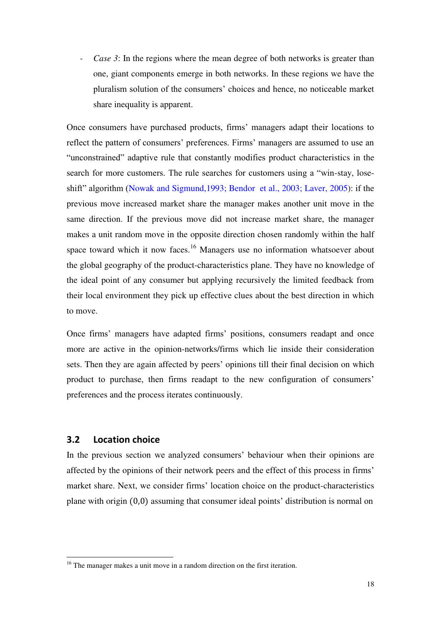*Case 3*: In the regions where the mean degree of both networks is greater than one, giant components emerge in both networks. In these regions we have the pluralism solution of the consumers' choices and hence, no noticeable market share inequality is apparent.

Once consumers have purchased products, firms' managers adapt their locations to reflect the pattern of consumers' preferences. Firms' managers are assumed to use an "unconstrained" adaptive rule that constantly modifies product characteristics in the search for more customers. The rule searches for customers using a "win-stay, loseshift" algorithm (Nowak and Sigmund,1993; Bendor et al., 2003; Laver, 2005): if the previous move increased market share the manager makes another unit move in the same direction. If the previous move did not increase market share, the manager makes a unit random move in the opposite direction chosen randomly within the half space toward which it now faces.<sup>16</sup> Managers use no information whatsoever about the global geography of the product-characteristics plane. They have no knowledge of the ideal point of any consumer but applying recursively the limited feedback from their local environment they pick up effective clues about the best direction in which to move.

Once firms' managers have adapted firms' positions, consumers readapt and once more are active in the opinion-networks/firms which lie inside their consideration sets. Then they are again affected by peers' opinions till their final decision on which product to purchase, then firms readapt to the new configuration of consumers' preferences and the process iterates continuously.

#### **3.2 Location choice**

-

In the previous section we analyzed consumers' behaviour when their opinions are affected by the opinions of their network peers and the effect of this process in firms' market share. Next, we consider firms' location choice on the product-characteristics plane with origin (0,0) assuming that consumer ideal points' distribution is normal on

<sup>&</sup>lt;sup>16</sup> The manager makes a unit move in a random direction on the first iteration.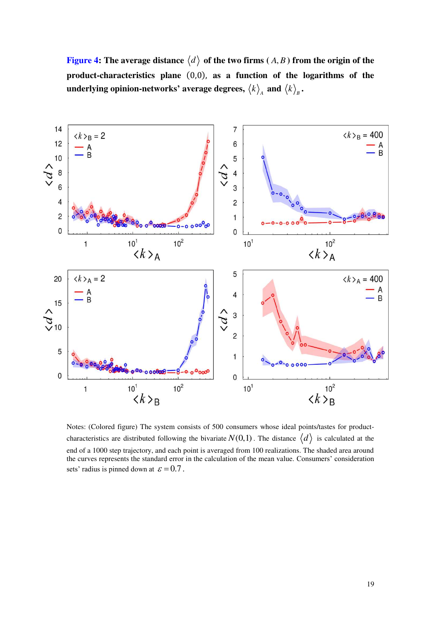**Figure 4:** The average distance  $\langle d \rangle$  of the two firms  $(A, B)$  from the origin of the **product-characteristics plane** (0,0), **as a function of the logarithms of the**  underlying opinion-networks' average degrees,  $\left\langle k \right\rangle_{\!\scriptscriptstyle A}$  and  $\left\langle k \right\rangle_{\!\scriptscriptstyle B}$  .



Notes: (Colored figure) The system consists of 500 consumers whose ideal points/tastes for productcharacteristics are distributed following the bivariate  $N(0,1)$ . The distance  $\langle d \rangle$  is calculated at the end of a 1000 step trajectory, and each point is averaged from 100 realizations. The shaded area around the curves represents the standard error in the calculation of the mean value. Consumers' consideration sets' radius is pinned down at  $\varepsilon = 0.7$ .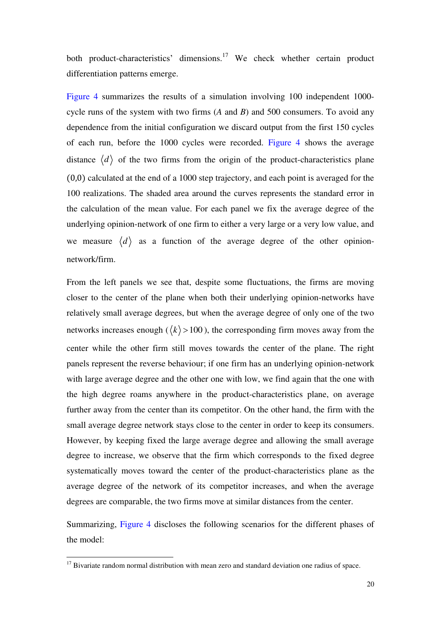both product-characteristics' dimensions.<sup>17</sup> We check whether certain product differentiation patterns emerge.

Figure 4 summarizes the results of a simulation involving 100 independent 1000 cycle runs of the system with two firms (*A* and *B*) and 500 consumers. To avoid any dependence from the initial configuration we discard output from the first 150 cycles of each run, before the 1000 cycles were recorded. Figure 4 shows the average distance  $\langle d \rangle$  of the two firms from the origin of the product-characteristics plane (0,0) calculated at the end of a 1000 step trajectory, and each point is averaged for the 100 realizations. The shaded area around the curves represents the standard error in the calculation of the mean value. For each panel we fix the average degree of the underlying opinion-network of one firm to either a very large or a very low value, and we measure  $\langle d \rangle$  as a function of the average degree of the other opinionnetwork/firm.

From the left panels we see that, despite some fluctuations, the firms are moving closer to the center of the plane when both their underlying opinion-networks have relatively small average degrees, but when the average degree of only one of the two networks increases enough ( $\langle k \rangle$  > 100), the corresponding firm moves away from the center while the other firm still moves towards the center of the plane. The right panels represent the reverse behaviour; if one firm has an underlying opinion-network with large average degree and the other one with low, we find again that the one with the high degree roams anywhere in the product-characteristics plane, on average further away from the center than its competitor. On the other hand, the firm with the small average degree network stays close to the center in order to keep its consumers. However, by keeping fixed the large average degree and allowing the small average degree to increase, we observe that the firm which corresponds to the fixed degree systematically moves toward the center of the product-characteristics plane as the average degree of the network of its competitor increases, and when the average degrees are comparable, the two firms move at similar distances from the center.

Summarizing, Figure 4 discloses the following scenarios for the different phases of the model:

 $17$  Bivariate random normal distribution with mean zero and standard deviation one radius of space.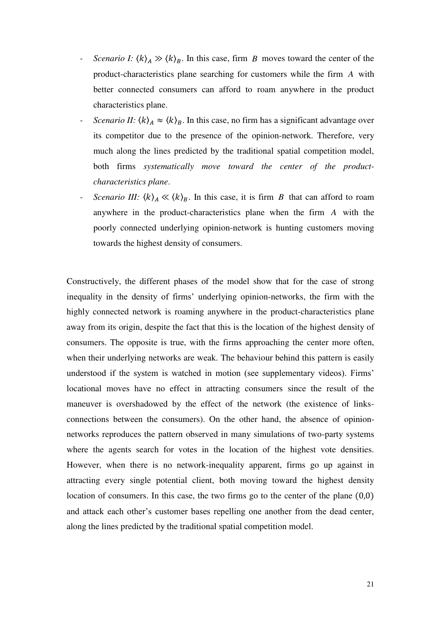- *Scenario I:*  $\langle k \rangle_A \gg \langle k \rangle_B$ . In this case, firm *B* moves toward the center of the product-characteristics plane searching for customers while the firm *A* with better connected consumers can afford to roam anywhere in the product characteristics plane.
- *Scenario II:*  $\langle k \rangle_A \approx \langle k \rangle_B$ . In this case, no firm has a significant advantage over its competitor due to the presence of the opinion-network. Therefore, very much along the lines predicted by the traditional spatial competition model, both firms *systematically move toward the center of the productcharacteristics plane*.
- *Scenario III:*  $\langle k \rangle_A \ll \langle k \rangle_B$ . In this case, it is firm *B* that can afford to roam anywhere in the product-characteristics plane when the firm *A* with the poorly connected underlying opinion-network is hunting customers moving towards the highest density of consumers.

Constructively, the different phases of the model show that for the case of strong inequality in the density of firms' underlying opinion-networks, the firm with the highly connected network is roaming anywhere in the product-characteristics plane away from its origin, despite the fact that this is the location of the highest density of consumers. The opposite is true, with the firms approaching the center more often, when their underlying networks are weak. The behaviour behind this pattern is easily understood if the system is watched in motion (see supplementary videos). Firms' locational moves have no effect in attracting consumers since the result of the maneuver is overshadowed by the effect of the network (the existence of linksconnections between the consumers). On the other hand, the absence of opinionnetworks reproduces the pattern observed in many simulations of two-party systems where the agents search for votes in the location of the highest vote densities. However, when there is no network-inequality apparent, firms go up against in attracting every single potential client, both moving toward the highest density location of consumers. In this case, the two firms go to the center of the plane (0,0) and attack each other's customer bases repelling one another from the dead center, along the lines predicted by the traditional spatial competition model.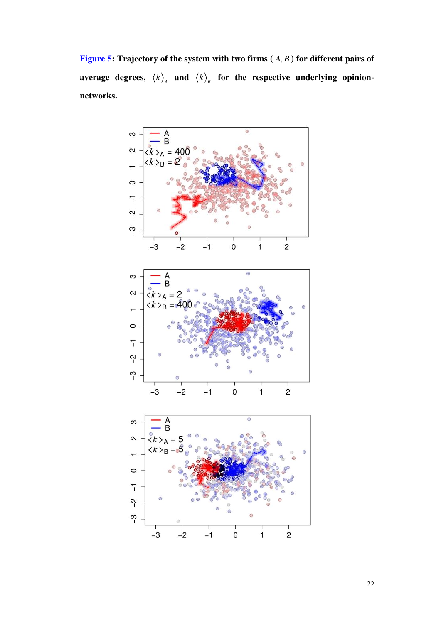**Figure 5: Trajectory of the system with two firms**  $(A, B)$  **for different pairs of** average degrees,  $\left\langle k \right\rangle_{\!\scriptscriptstyle A}$  and  $\left\langle k \right\rangle_{\!\scriptscriptstyle B}$  for the respective underlying opinion**networks.**

![](_page_22_Figure_1.jpeg)

22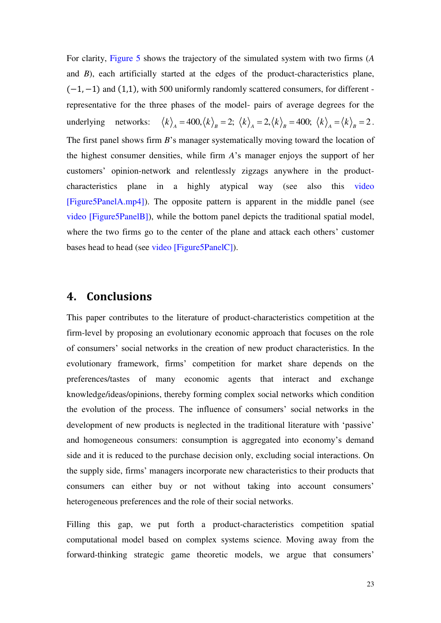For clarity, Figure 5 shows the trajectory of the simulated system with two firms (*A* and *B*), each artificially started at the edges of the product-characteristics plane, (−1, −1) and (1,1), with 500 uniformly randomly scattered consumers, for different representative for the three phases of the model- pairs of average degrees for the underlying networks:  $\langle k \rangle_{A} = 400, \langle k \rangle_{B} = 2; \langle k \rangle_{A} = 2, \langle k \rangle_{B} = 400; \langle k \rangle_{A} = \langle k \rangle_{B} = 2$ . The first panel shows firm *B*'s manager systematically moving toward the location of the highest consumer densities, while firm *A*'s manager enjoys the support of her customers' opinion-network and relentlessly zigzags anywhere in the productcharacteristics plane in a highly atypical way (see also this video [Figure5PanelA.mp4]). The opposite pattern is apparent in the middle panel (see video [Figure5PanelB]), while the bottom panel depicts the traditional spatial model, where the two firms go to the center of the plane and attack each others' customer bases head to head (see video [Figure5PanelC]).

# **4. Conclusions**

This paper contributes to the literature of product-characteristics competition at the firm-level by proposing an evolutionary economic approach that focuses on the role of consumers' social networks in the creation of new product characteristics. In the evolutionary framework, firms' competition for market share depends on the preferences/tastes of many economic agents that interact and exchange knowledge/ideas/opinions, thereby forming complex social networks which condition the evolution of the process. The influence of consumers' social networks in the development of new products is neglected in the traditional literature with 'passive' and homogeneous consumers: consumption is aggregated into economy's demand side and it is reduced to the purchase decision only, excluding social interactions. On the supply side, firms' managers incorporate new characteristics to their products that consumers can either buy or not without taking into account consumers' heterogeneous preferences and the role of their social networks.

Filling this gap, we put forth a product-characteristics competition spatial computational model based on complex systems science. Moving away from the forward-thinking strategic game theoretic models, we argue that consumers'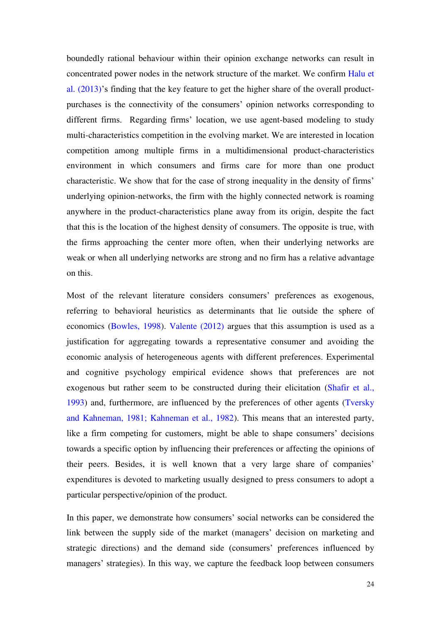boundedly rational behaviour within their opinion exchange networks can result in concentrated power nodes in the network structure of the market. We confirm Halu et al. (2013)'s finding that the key feature to get the higher share of the overall productpurchases is the connectivity of the consumers' opinion networks corresponding to different firms. Regarding firms' location, we use agent-based modeling to study multi-characteristics competition in the evolving market. We are interested in location competition among multiple firms in a multidimensional product-characteristics environment in which consumers and firms care for more than one product characteristic. We show that for the case of strong inequality in the density of firms' underlying opinion-networks, the firm with the highly connected network is roaming anywhere in the product-characteristics plane away from its origin, despite the fact that this is the location of the highest density of consumers. The opposite is true, with the firms approaching the center more often, when their underlying networks are weak or when all underlying networks are strong and no firm has a relative advantage on this.

Most of the relevant literature considers consumers' preferences as exogenous, referring to behavioral heuristics as determinants that lie outside the sphere of economics (Bowles, 1998). Valente (2012) argues that this assumption is used as a justification for aggregating towards a representative consumer and avoiding the economic analysis of heterogeneous agents with different preferences. Experimental and cognitive psychology empirical evidence shows that preferences are not exogenous but rather seem to be constructed during their elicitation (Shafir et al., 1993) and, furthermore, are influenced by the preferences of other agents (Tversky and Kahneman, 1981; Kahneman et al., 1982). This means that an interested party, like a firm competing for customers, might be able to shape consumers' decisions towards a specific option by influencing their preferences or affecting the opinions of their peers. Besides, it is well known that a very large share of companies' expenditures is devoted to marketing usually designed to press consumers to adopt a particular perspective/opinion of the product.

In this paper, we demonstrate how consumers' social networks can be considered the link between the supply side of the market (managers' decision on marketing and strategic directions) and the demand side (consumers' preferences influenced by managers' strategies). In this way, we capture the feedback loop between consumers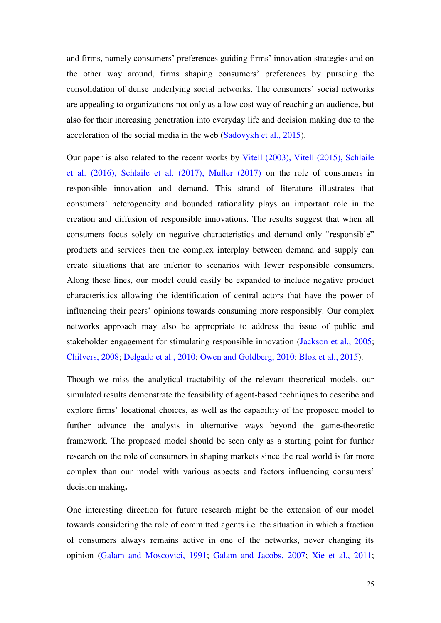and firms, namely consumers' preferences guiding firms' innovation strategies and on the other way around, firms shaping consumers' preferences by pursuing the consolidation of dense underlying social networks. The consumers' social networks are appealing to organizations not only as a low cost way of reaching an audience, but also for their increasing penetration into everyday life and decision making due to the acceleration of the social media in the web (Sadovykh et al., 2015).

Our paper is also related to the recent works by Vitell (2003), Vitell (2015), Schlaile et al. (2016), Schlaile et al. (2017), Muller (2017) on the role of consumers in responsible innovation and demand. This strand of literature illustrates that consumers' heterogeneity and bounded rationality plays an important role in the creation and diffusion of responsible innovations. The results suggest that when all consumers focus solely on negative characteristics and demand only "responsible" products and services then the complex interplay between demand and supply can create situations that are inferior to scenarios with fewer responsible consumers. Along these lines, our model could easily be expanded to include negative product characteristics allowing the identification of central actors that have the power of influencing their peers' opinions towards consuming more responsibly. Our complex networks approach may also be appropriate to address the issue of public and stakeholder engagement for stimulating responsible innovation (Jackson et al., 2005; Chilvers, 2008; Delgado et al., 2010; Owen and Goldberg, 2010; Blok et al., 2015).

Though we miss the analytical tractability of the relevant theoretical models, our simulated results demonstrate the feasibility of agent-based techniques to describe and explore firms' locational choices, as well as the capability of the proposed model to further advance the analysis in alternative ways beyond the game-theoretic framework. The proposed model should be seen only as a starting point for further research on the role of consumers in shaping markets since the real world is far more complex than our model with various aspects and factors influencing consumers' decision making**.** 

One interesting direction for future research might be the extension of our model towards considering the role of committed agents i.e. the situation in which a fraction of consumers always remains active in one of the networks, never changing its opinion (Galam and Moscovici, 1991; Galam and Jacobs, 2007; Xie et al., 2011;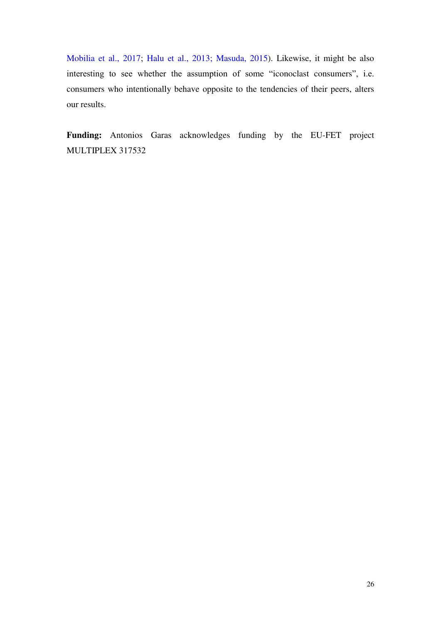Mobilia et al., 2017; Halu et al., 2013; Masuda, 2015). Likewise, it might be also interesting to see whether the assumption of some "iconoclast consumers", i.e. consumers who intentionally behave opposite to the tendencies of their peers, alters our results.

**Funding:** Antonios Garas acknowledges funding by the EU-FET project MULTIPLEX 317532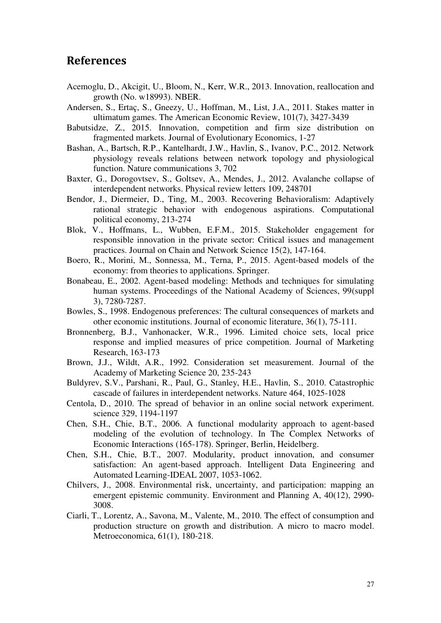# **References**

- Acemoglu, D., Akcigit, U., Bloom, N., Kerr, W.R., 2013. Innovation, reallocation and growth (No. w18993). NBER.
- Andersen, S., Ertaç, S., Gneezy, U., Hoffman, M., List, J.A., 2011. Stakes matter in ultimatum games. The American Economic Review, 101(7), 3427-3439
- Babutsidze, Z., 2015. Innovation, competition and firm size distribution on fragmented markets. Journal of Evolutionary Economics, 1-27
- Bashan, A., Bartsch, R.P., Kantelhardt, J.W., Havlin, S., Ivanov, P.C., 2012. Network physiology reveals relations between network topology and physiological function. Nature communications 3, 702
- Baxter, G., Dorogovtsev, S., Goltsev, A., Mendes, J., 2012. Avalanche collapse of interdependent networks. Physical review letters 109, 248701
- Bendor, J., Diermeier, D., Ting, M., 2003. Recovering Behavioralism: Adaptively rational strategic behavior with endogenous aspirations. Computational political economy, 213-274
- Blok, V., Hoffmans, L., Wubben, E.F.M., 2015. Stakeholder engagement for responsible innovation in the private sector: Critical issues and management practices. Journal on Chain and Network Science 15(2), 147-164.
- Boero, R., Morini, M., Sonnessa, M., Terna, P., 2015. Agent-based models of the economy: from theories to applications. Springer.
- Bonabeau, E., 2002. Agent-based modeling: Methods and techniques for simulating human systems. Proceedings of the National Academy of Sciences, 99(suppl 3), 7280-7287.
- Bowles, S., 1998. Endogenous preferences: The cultural consequences of markets and other economic institutions. Journal of economic literature, 36(1), 75-111.
- Bronnenberg, B.J., Vanhonacker, W.R., 1996. Limited choice sets, local price response and implied measures of price competition. Journal of Marketing Research, 163-173
- Brown, J.J., Wildt, A.R., 1992. Consideration set measurement. Journal of the Academy of Marketing Science 20, 235-243
- Buldyrev, S.V., Parshani, R., Paul, G., Stanley, H.E., Havlin, S., 2010. Catastrophic cascade of failures in interdependent networks. Nature 464, 1025-1028
- Centola, D., 2010. The spread of behavior in an online social network experiment. science 329, 1194-1197
- Chen, S.H., Chie, B.T., 2006. A functional modularity approach to agent-based modeling of the evolution of technology. In The Complex Networks of Economic Interactions (165-178). Springer, Berlin, Heidelberg.
- Chen, S.H., Chie, B.T., 2007. Modularity, product innovation, and consumer satisfaction: An agent-based approach. Intelligent Data Engineering and Automated Learning-IDEAL 2007, 1053-1062.
- Chilvers, J., 2008. Environmental risk, uncertainty, and participation: mapping an emergent epistemic community. Environment and Planning A, 40(12), 2990- 3008.
- Ciarli, T., Lorentz, A., Savona, M., Valente, M., 2010. The effect of consumption and production structure on growth and distribution. A micro to macro model. Metroeconomica, 61(1), 180-218.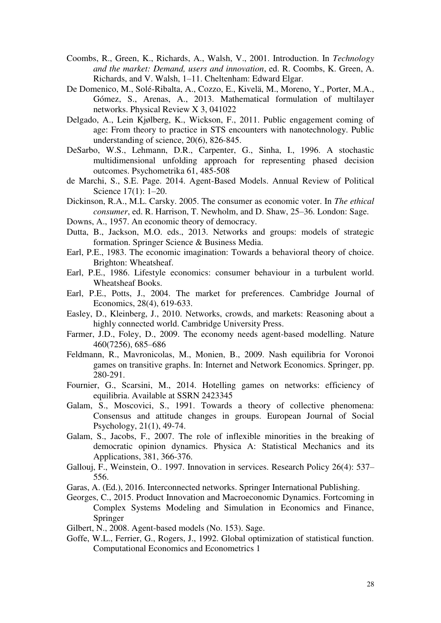- Coombs, R., Green, K., Richards, A., Walsh, V., 2001. Introduction. In *Technology and the market: Demand, users and innovation*, ed. R. Coombs, K. Green, A. Richards, and V. Walsh, 1–11. Cheltenham: Edward Elgar.
- De Domenico, M., Solé-Ribalta, A., Cozzo, E., Kivelä, M., Moreno, Y., Porter, M.A., Gómez, S., Arenas, A., 2013. Mathematical formulation of multilayer networks. Physical Review X 3, 041022
- Delgado, A., Lein Kjølberg, K., Wickson, F., 2011. Public engagement coming of age: From theory to practice in STS encounters with nanotechnology. Public understanding of science, 20(6), 826-845.
- DeSarbo, W.S., Lehmann, D.R., Carpenter, G., Sinha, I., 1996. A stochastic multidimensional unfolding approach for representing phased decision outcomes. Psychometrika 61, 485-508
- de Marchi, S., S.E. Page. 2014. Agent-Based Models. Annual Review of Political Science 17(1): 1–20.
- Dickinson, R.A., M.L. Carsky. 2005. The consumer as economic voter. In *The ethical consumer*, ed. R. Harrison, T. Newholm, and D. Shaw, 25–36. London: Sage.
- Downs, A., 1957. An economic theory of democracy.
- Dutta, B., Jackson, M.O. eds., 2013. Networks and groups: models of strategic formation. Springer Science & Business Media.
- Earl, P.E., 1983. The economic imagination: Towards a behavioral theory of choice. Brighton: Wheatsheaf.
- Earl, P.E., 1986. Lifestyle economics: consumer behaviour in a turbulent world. Wheatsheaf Books.
- Earl, P.E., Potts, J., 2004. The market for preferences. Cambridge Journal of Economics, 28(4), 619-633.
- Easley, D., Kleinberg, J., 2010. Networks, crowds, and markets: Reasoning about a highly connected world. Cambridge University Press.
- Farmer, J.D., Foley, D., 2009. The economy needs agent-based modelling. Nature 460(7256), 685–686
- Feldmann, R., Mavronicolas, M., Monien, B., 2009. Nash equilibria for Voronoi games on transitive graphs. In: Internet and Network Economics. Springer, pp. 280-291.
- Fournier, G., Scarsini, M., 2014. Hotelling games on networks: efficiency of equilibria. Available at SSRN 2423345
- Galam, S., Moscovici, S., 1991. Towards a theory of collective phenomena: Consensus and attitude changes in groups. European Journal of Social Psychology, 21(1), 49-74.
- Galam, S., Jacobs, F., 2007. The role of inflexible minorities in the breaking of democratic opinion dynamics. Physica A: Statistical Mechanics and its Applications, 381, 366-376.
- Gallouj, F., Weinstein, O.. 1997. Innovation in services. Research Policy 26(4): 537– 556.
- Garas, A. (Ed.), 2016. Interconnected networks. Springer International Publishing.
- Georges, C., 2015. Product Innovation and Macroeconomic Dynamics. Fortcoming in Complex Systems Modeling and Simulation in Economics and Finance, Springer
- Gilbert, N., 2008. Agent-based models (No. 153). Sage.
- Goffe, W.L., Ferrier, G., Rogers, J., 1992. Global optimization of statistical function. Computational Economics and Econometrics 1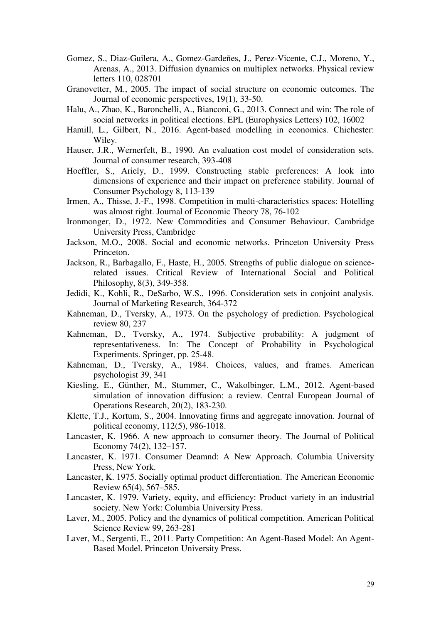- Gomez, S., Diaz-Guilera, A., Gomez-Gardeñes, J., Perez-Vicente, C.J., Moreno, Y., Arenas, A., 2013. Diffusion dynamics on multiplex networks. Physical review letters 110, 028701
- Granovetter, M., 2005. The impact of social structure on economic outcomes. The Journal of economic perspectives, 19(1), 33-50.
- Halu, A., Zhao, K., Baronchelli, A., Bianconi, G., 2013. Connect and win: The role of social networks in political elections. EPL (Europhysics Letters) 102, 16002
- Hamill, L., Gilbert, N., 2016. Agent-based modelling in economics*.* Chichester: Wiley.
- Hauser, J.R., Wernerfelt, B., 1990. An evaluation cost model of consideration sets. Journal of consumer research, 393-408
- Hoeffler, S., Ariely, D., 1999. Constructing stable preferences: A look into dimensions of experience and their impact on preference stability. Journal of Consumer Psychology 8, 113-139
- Irmen, A., Thisse, J.-F., 1998. Competition in multi-characteristics spaces: Hotelling was almost right. Journal of Economic Theory 78, 76-102
- Ironmonger, D., 1972. New Commodities and Consumer Behaviour. Cambridge University Press, Cambridge
- Jackson, M.O., 2008. Social and economic networks. Princeton University Press Princeton.
- Jackson, R., Barbagallo, F., Haste, H., 2005. Strengths of public dialogue on sciencerelated issues. Critical Review of International Social and Political Philosophy, 8(3), 349-358.
- Jedidi, K., Kohli, R., DeSarbo, W.S., 1996. Consideration sets in conjoint analysis. Journal of Marketing Research, 364-372
- Kahneman, D., Tversky, A., 1973. On the psychology of prediction. Psychological review 80, 237
- Kahneman, D., Tversky, A., 1974. Subjective probability: A judgment of representativeness. In: The Concept of Probability in Psychological Experiments. Springer, pp. 25-48.
- Kahneman, D., Tversky, A., 1984. Choices, values, and frames. American psychologist 39, 341
- Kiesling, E., Günther, M., Stummer, C., Wakolbinger, L.M., 2012. Agent-based simulation of innovation diffusion: a review. Central European Journal of Operations Research, 20(2), 183-230.
- Klette, T.J., Kortum, S., 2004. Innovating firms and aggregate innovation. Journal of political economy, 112(5), 986-1018.
- Lancaster, K. 1966. A new approach to consumer theory. The Journal of Political Economy 74(2), 132–157.
- Lancaster, K. 1971. Consumer Deamnd: A New Approach. Columbia University Press, New York.
- Lancaster, K. 1975. Socially optimal product differentiation. The American Economic Review 65(4), 567–585.
- Lancaster, K. 1979. Variety, equity, and efficiency: Product variety in an industrial society. New York: Columbia University Press.
- Laver, M., 2005. Policy and the dynamics of political competition. American Political Science Review 99, 263-281
- Laver, M., Sergenti, E., 2011. Party Competition: An Agent-Based Model: An Agent-Based Model. Princeton University Press.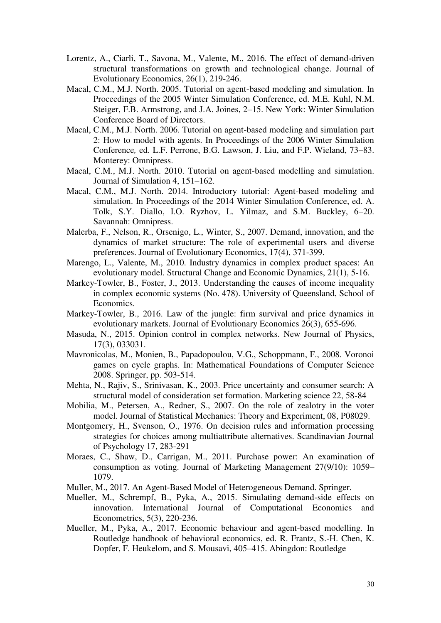- Lorentz, A., Ciarli, T., Savona, M., Valente, M., 2016. The effect of demand-driven structural transformations on growth and technological change. Journal of Evolutionary Economics, 26(1), 219-246.
- Macal, C.M., M.J. North. 2005. Tutorial on agent-based modeling and simulation. In Proceedings of the 2005 Winter Simulation Conference, ed. M.E. Kuhl, N.M. Steiger, F.B. Armstrong, and J.A. Joines, 2–15. New York: Winter Simulation Conference Board of Directors.
- Macal, C.M., M.J. North. 2006. Tutorial on agent-based modeling and simulation part 2: How to model with agents. In Proceedings of the 2006 Winter Simulation Conference*,* ed. L.F. Perrone, B.G. Lawson, J. Liu, and F.P. Wieland, 73–83. Monterey: Omnipress.
- Macal, C.M., M.J. North. 2010. Tutorial on agent-based modelling and simulation. Journal of Simulation 4, 151–162.
- Macal, C.M., M.J. North. 2014. Introductory tutorial: Agent-based modeling and simulation. In Proceedings of the 2014 Winter Simulation Conference, ed. A. Tolk, S.Y. Diallo, I.O. Ryzhov, L. Yilmaz, and S.M. Buckley, 6–20. Savannah: Omnipress.
- Malerba, F., Nelson, R., Orsenigo, L., Winter, S., 2007. Demand, innovation, and the dynamics of market structure: The role of experimental users and diverse preferences. Journal of Evolutionary Economics, 17(4), 371-399.
- Marengo, L., Valente, M., 2010. Industry dynamics in complex product spaces: An evolutionary model. Structural Change and Economic Dynamics, 21(1), 5-16.
- Markey-Towler, B., Foster, J., 2013. Understanding the causes of income inequality in complex economic systems (No. 478). University of Queensland, School of Economics.
- Markey-Towler, B., 2016. Law of the jungle: firm survival and price dynamics in evolutionary markets. Journal of Evolutionary Economics 26(3), 655-696.
- Masuda, N., 2015. Opinion control in complex networks. New Journal of Physics, 17(3), 033031.
- Mavronicolas, M., Monien, B., Papadopoulou, V.G., Schoppmann, F., 2008. Voronoi games on cycle graphs. In: Mathematical Foundations of Computer Science 2008. Springer, pp. 503-514.
- Mehta, N., Rajiv, S., Srinivasan, K., 2003. Price uncertainty and consumer search: A structural model of consideration set formation. Marketing science 22, 58-84
- Mobilia, M., Petersen, A., Redner, S., 2007. On the role of zealotry in the voter model. Journal of Statistical Mechanics: Theory and Experiment, 08, P08029.
- Montgomery, H., Svenson, O., 1976. On decision rules and information processing strategies for choices among multiattribute alternatives. Scandinavian Journal of Psychology 17, 283-291
- Moraes, C., Shaw, D., Carrigan, M., 2011. Purchase power: An examination of consumption as voting. Journal of Marketing Management 27(9/10): 1059– 1079.
- Muller, M., 2017. An Agent-Based Model of Heterogeneous Demand. Springer.
- Mueller, M., Schrempf, B., Pyka, A., 2015. Simulating demand-side effects on innovation. International Journal of Computational Economics and Econometrics, 5(3), 220-236.
- Mueller, M., Pyka, A., 2017. Economic behaviour and agent-based modelling. In Routledge handbook of behavioral economics, ed. R. Frantz, S.-H. Chen, K. Dopfer, F. Heukelom, and S. Mousavi, 405–415. Abingdon: Routledge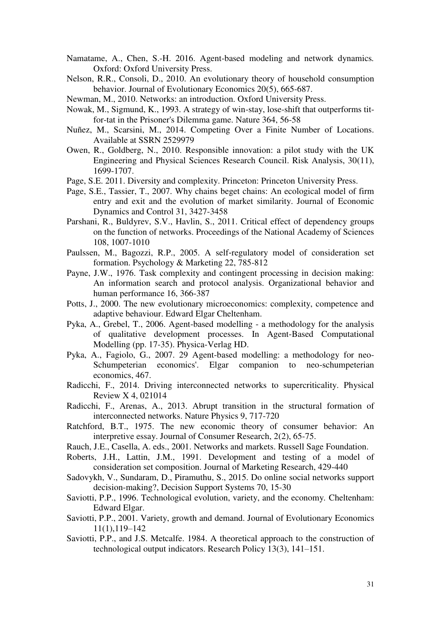- Namatame, A., Chen, S.-H. 2016. Agent-based modeling and network dynamics*.*  Oxford: Oxford University Press.
- Nelson, R.R., Consoli, D., 2010. An evolutionary theory of household consumption behavior. Journal of Evolutionary Economics 20(5), 665-687.

Newman, M., 2010. Networks: an introduction. Oxford University Press.

- Nowak, M., Sigmund, K., 1993. A strategy of win-stay, lose-shift that outperforms titfor-tat in the Prisoner's Dilemma game. Nature 364, 56-58
- Nuñez, M., Scarsini, M., 2014. Competing Over a Finite Number of Locations. Available at SSRN 2529979
- Owen, R., Goldberg, N., 2010. Responsible innovation: a pilot study with the UK Engineering and Physical Sciences Research Council. Risk Analysis, 30(11), 1699-1707.
- Page, S.E. 2011. Diversity and complexity. Princeton: Princeton University Press.
- Page, S.E., Tassier, T., 2007. Why chains beget chains: An ecological model of firm entry and exit and the evolution of market similarity. Journal of Economic Dynamics and Control 31, 3427-3458
- Parshani, R., Buldyrev, S.V., Havlin, S., 2011. Critical effect of dependency groups on the function of networks. Proceedings of the National Academy of Sciences 108, 1007-1010
- Paulssen, M., Bagozzi, R.P., 2005. A self‐regulatory model of consideration set formation. Psychology & Marketing 22, 785-812
- Payne, J.W., 1976. Task complexity and contingent processing in decision making: An information search and protocol analysis. Organizational behavior and human performance 16, 366-387
- Potts, J., 2000. The new evolutionary microeconomics: complexity, competence and adaptive behaviour. Edward Elgar Cheltenham.
- Pyka, A., Grebel, T., 2006. Agent-based modelling a methodology for the analysis of qualitative development processes. In Agent-Based Computational Modelling (pp. 17-35). Physica-Verlag HD.
- Pyka, A., Fagiolo, G., 2007. 29 Agent-based modelling: a methodology for neo-Schumpeterian economics'. Elgar companion to neo-schumpeterian economics, 467.
- Radicchi, F., 2014. Driving interconnected networks to supercriticality. Physical Review X 4, 021014
- Radicchi, F., Arenas, A., 2013. Abrupt transition in the structural formation of interconnected networks. Nature Physics 9, 717-720
- Ratchford, B.T., 1975. The new economic theory of consumer behavior: An interpretive essay. Journal of Consumer Research, 2(2), 65-75.
- Rauch, J.E., Casella, A. eds., 2001. Networks and markets. Russell Sage Foundation.
- Roberts, J.H., Lattin, J.M., 1991. Development and testing of a model of consideration set composition. Journal of Marketing Research, 429-440
- Sadovykh, V., Sundaram, D., Piramuthu, S., 2015. Do online social networks support decision-making?, Decision Support Systems 70, 15-30
- Saviotti, P.P., 1996. Technological evolution, variety, and the economy*.* Cheltenham: Edward Elgar.
- Saviotti, P.P., 2001. Variety, growth and demand. Journal of Evolutionary Economics 11(1),119–142
- Saviotti, P.P., and J.S. Metcalfe. 1984. A theoretical approach to the construction of technological output indicators. Research Policy 13(3), 141–151.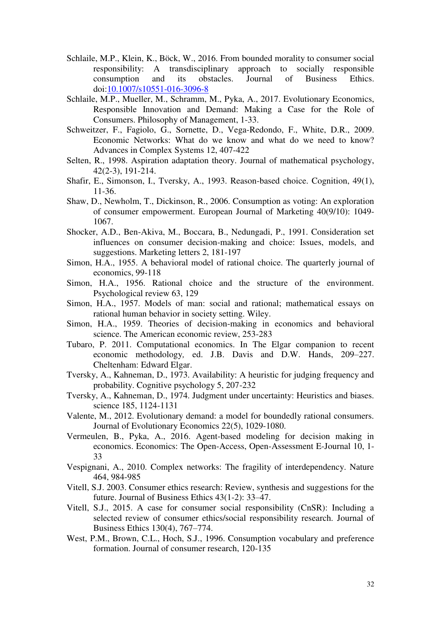- Schlaile, M.P., Klein, K., Böck, W., 2016. From bounded morality to consumer social responsibility: A transdisciplinary approach to socially responsible consumption and its obstacles. Journal of Business Ethics. doi[:10.1007/s10551-016-3096-8](http://dx.doi.org/10.1007/s10551-016-3096-8)
- Schlaile, M.P., Mueller, M., Schramm, M., Pyka, A., 2017. Evolutionary Economics, Responsible Innovation and Demand: Making a Case for the Role of Consumers. Philosophy of Management, 1-33.
- Schweitzer, F., Fagiolo, G., Sornette, D., Vega-Redondo, F., White, D.R., 2009. Economic Networks: What do we know and what do we need to know? Advances in Complex Systems 12, 407-422
- Selten, R., 1998. Aspiration adaptation theory. Journal of mathematical psychology, 42(2-3), 191-214.
- Shafir, E., Simonson, I., Tversky, A., 1993. Reason-based choice. Cognition, 49(1), 11-36.
- Shaw, D., Newholm, T., Dickinson, R., 2006. Consumption as voting: An exploration of consumer empowerment. European Journal of Marketing 40(9/10): 1049- 1067.
- Shocker, A.D., Ben-Akiva, M., Boccara, B., Nedungadi, P., 1991. Consideration set influences on consumer decision-making and choice: Issues, models, and suggestions. Marketing letters 2, 181-197
- Simon, H.A., 1955. A behavioral model of rational choice. The quarterly journal of economics, 99-118
- Simon, H.A., 1956. Rational choice and the structure of the environment. Psychological review 63, 129
- Simon, H.A., 1957. Models of man: social and rational; mathematical essays on rational human behavior in society setting. Wiley.
- Simon, H.A., 1959. Theories of decision-making in economics and behavioral science. The American economic review, 253-283
- Tubaro, P. 2011. Computational economics. In The Elgar companion to recent economic methodology*,* ed. J.B. Davis and D.W. Hands, 209–227. Cheltenham: Edward Elgar.
- Tversky, A., Kahneman, D., 1973. Availability: A heuristic for judging frequency and probability. Cognitive psychology 5, 207-232
- Tversky, A., Kahneman, D., 1974. Judgment under uncertainty: Heuristics and biases. science 185, 1124-1131
- Valente, M., 2012. Evolutionary demand: a model for boundedly rational consumers. Journal of Evolutionary Economics 22(5), 1029-1080.
- Vermeulen, B., Pyka, A., 2016. Agent-based modeling for decision making in economics. Economics: The Open-Access, Open-Assessment E-Journal 10, 1- 33
- Vespignani, A., 2010. Complex networks: The fragility of interdependency. Nature 464, 984-985
- Vitell, S.J. 2003. Consumer ethics research: Review, synthesis and suggestions for the future. Journal of Business Ethics 43(1-2): 33–47.
- Vitell, S.J., 2015. A case for consumer social responsibility (CnSR): Including a selected review of consumer ethics/social responsibility research. Journal of Business Ethics 130(4), 767–774.
- West, P.M., Brown, C.L., Hoch, S.J., 1996. Consumption vocabulary and preference formation. Journal of consumer research, 120-135